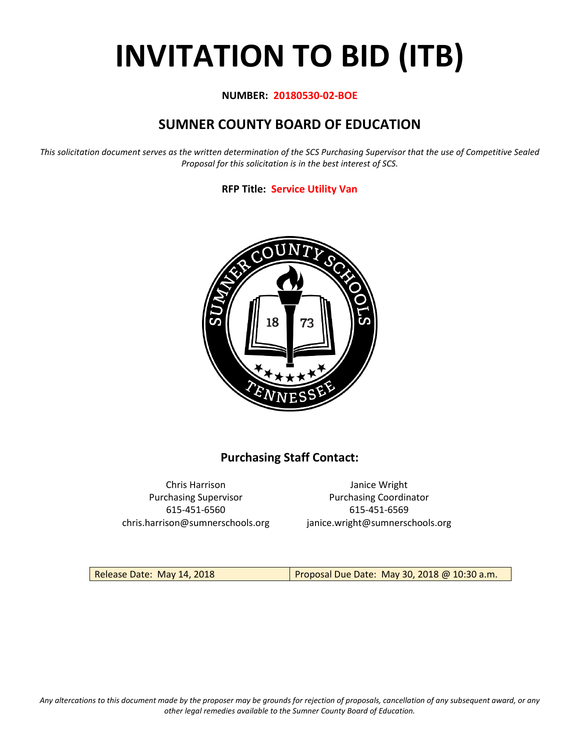# **INVITATION TO BID (ITB)**

#### **NUMBER: 20180530-02-BOE**

# **SUMNER COUNTY BOARD OF EDUCATION**

*This solicitation document serves as the written determination of the SCS Purchasing Supervisor that the use of Competitive Sealed Proposal for this solicitation is in the best interest of SCS.*

#### **RFP Title: Service Utility Van**



## **Purchasing Staff Contact:**

Chris Harrison Janice Wright 615-451-6560 615-451-6569 chris.harrison@sumnerschools.org janice.wright@sumnerschools.org

Purchasing Supervisor **Purchasing Coordinator** 

Release Date: May 14, 2018 **Proposal Due Date: May 30, 2018 @ 10:30 a.m.**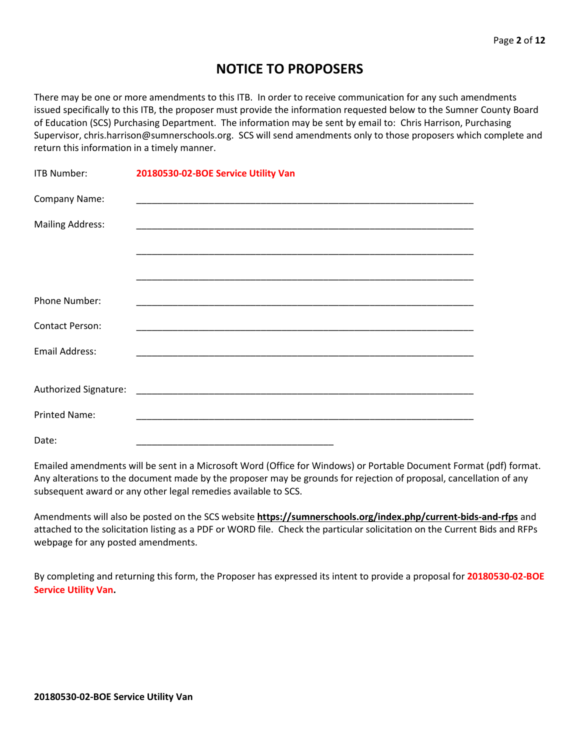## **NOTICE TO PROPOSERS**

There may be one or more amendments to this ITB. In order to receive communication for any such amendments issued specifically to this ITB, the proposer must provide the information requested below to the Sumner County Board of Education (SCS) Purchasing Department. The information may be sent by email to: Chris Harrison, Purchasing Supervisor, chris.harrison@sumnerschools.org. SCS will send amendments only to those proposers which complete and return this information in a timely manner.

| ITB Number:             | 20180530-02-BOE Service Utility Van |
|-------------------------|-------------------------------------|
| Company Name:           |                                     |
| <b>Mailing Address:</b> |                                     |
|                         |                                     |
|                         |                                     |
| Phone Number:           |                                     |
| <b>Contact Person:</b>  |                                     |
| <b>Email Address:</b>   |                                     |
|                         |                                     |
|                         |                                     |
| <b>Printed Name:</b>    |                                     |
| Date:                   |                                     |

Emailed amendments will be sent in a Microsoft Word (Office for Windows) or Portable Document Format (pdf) format. Any alterations to the document made by the proposer may be grounds for rejection of proposal, cancellation of any subsequent award or any other legal remedies available to SCS.

Amendments will also be posted on the SCS website **https://sumnerschools.org/index.php/current-bids-and-rfps** and attached to the solicitation listing as a PDF or WORD file. Check the particular solicitation on the Current Bids and RFPs webpage for any posted amendments.

By completing and returning this form, the Proposer has expressed its intent to provide a proposal for **20180530-02-BOE Service Utility Van.**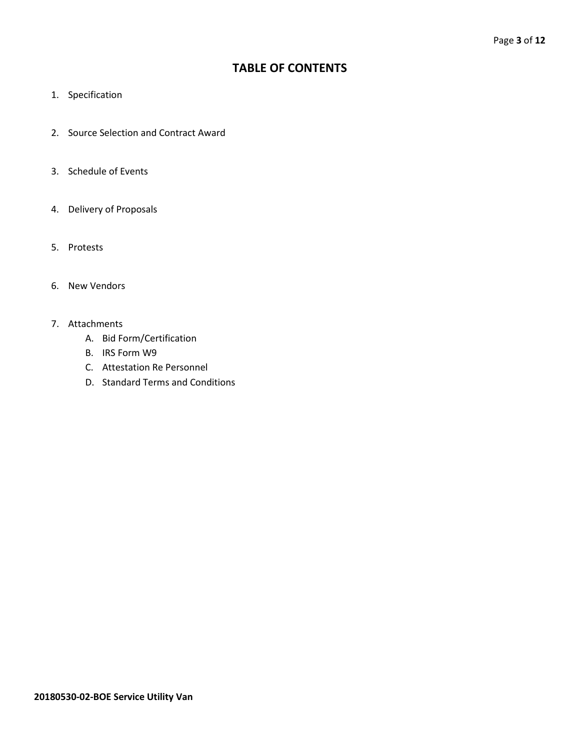## **TABLE OF CONTENTS**

- 1. Specification
- 2. Source Selection and Contract Award
- 3. Schedule of Events
- 4. Delivery of Proposals
- 5. Protests
- 6. New Vendors
- 7. Attachments
	- A. Bid Form/Certification
	- B. IRS Form W9
	- C. Attestation Re Personnel
	- D. Standard Terms and Conditions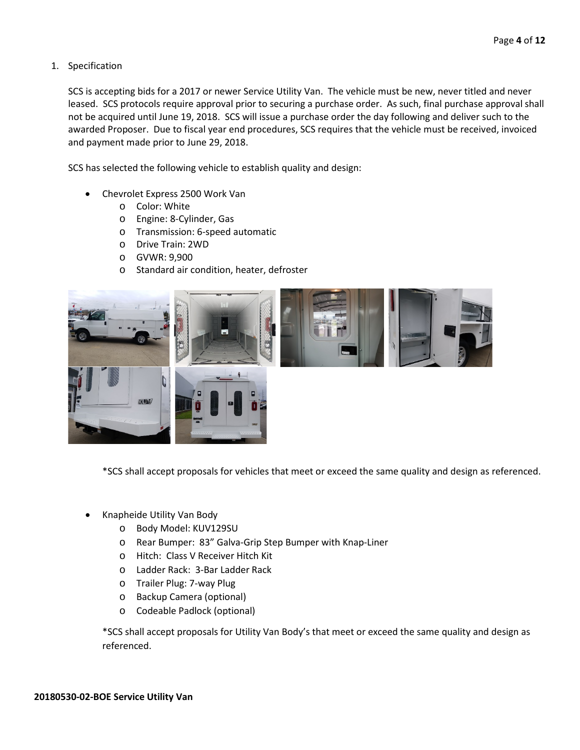#### 1. Specification

SCS is accepting bids for a 2017 or newer Service Utility Van. The vehicle must be new, never titled and never leased. SCS protocols require approval prior to securing a purchase order. As such, final purchase approval shall not be acquired until June 19, 2018. SCS will issue a purchase order the day following and deliver such to the awarded Proposer. Due to fiscal year end procedures, SCS requires that the vehicle must be received, invoiced and payment made prior to June 29, 2018.

SCS has selected the following vehicle to establish quality and design:

- Chevrolet Express 2500 Work Van
	- o Color: White
	- o Engine: 8-Cylinder, Gas
	- o Transmission: 6-speed automatic
	- o Drive Train: 2WD
	- o GVWR: 9,900
	- o Standard air condition, heater, defroster



\*SCS shall accept proposals for vehicles that meet or exceed the same quality and design as referenced.

- Knapheide Utility Van Body
	- o Body Model: KUV129SU
	- o Rear Bumper: 83" Galva-Grip Step Bumper with Knap-Liner
	- o Hitch: Class V Receiver Hitch Kit
	- o Ladder Rack: 3-Bar Ladder Rack
	- o Trailer Plug: 7-way Plug
	- o Backup Camera (optional)
	- o Codeable Padlock (optional)

\*SCS shall accept proposals for Utility Van Body's that meet or exceed the same quality and design as referenced.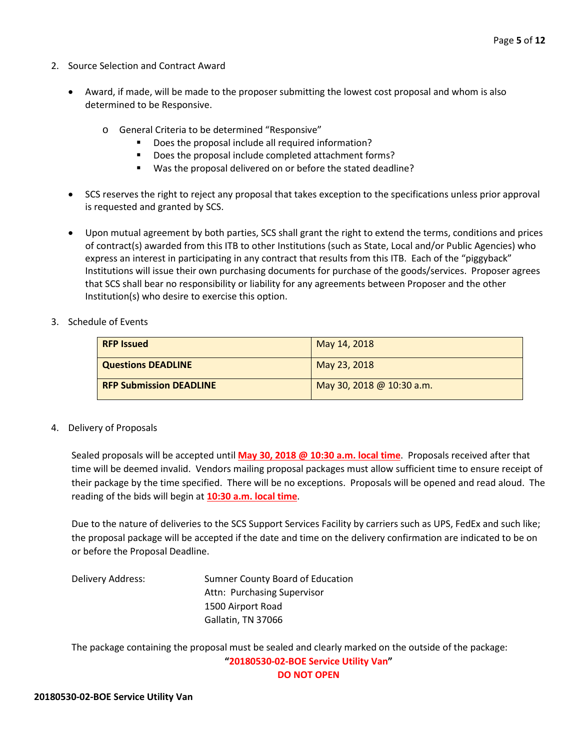- 2. Source Selection and Contract Award
	- Award, if made, will be made to the proposer submitting the lowest cost proposal and whom is also determined to be Responsive.
		- o General Criteria to be determined "Responsive"
			- Does the proposal include all required information?
			- Does the proposal include completed attachment forms?
			- Was the proposal delivered on or before the stated deadline?
	- SCS reserves the right to reject any proposal that takes exception to the specifications unless prior approval is requested and granted by SCS.
	- Upon mutual agreement by both parties, SCS shall grant the right to extend the terms, conditions and prices of contract(s) awarded from this ITB to other Institutions (such as State, Local and/or Public Agencies) who express an interest in participating in any contract that results from this ITB. Each of the "piggyback" Institutions will issue their own purchasing documents for purchase of the goods/services. Proposer agrees that SCS shall bear no responsibility or liability for any agreements between Proposer and the other Institution(s) who desire to exercise this option.
- 3. Schedule of Events

| <b>RFP Issued</b>              | May 14, 2018                |
|--------------------------------|-----------------------------|
| Questions DEADLINE             | May 23, 2018                |
| <b>RFP Submission DEADLINE</b> | May 30, 2018 @ $10:30$ a.m. |

4. Delivery of Proposals

Sealed proposals will be accepted until **May 30, 2018 @ 10:30 a.m. local time**. Proposals received after that time will be deemed invalid. Vendors mailing proposal packages must allow sufficient time to ensure receipt of their package by the time specified. There will be no exceptions. Proposals will be opened and read aloud. The reading of the bids will begin at **10:30 a.m. local time**.

Due to the nature of deliveries to the SCS Support Services Facility by carriers such as UPS, FedEx and such like; the proposal package will be accepted if the date and time on the delivery confirmation are indicated to be on or before the Proposal Deadline.

Delivery Address: Sumner County Board of Education Attn: Purchasing Supervisor 1500 Airport Road Gallatin, TN 37066

The package containing the proposal must be sealed and clearly marked on the outside of the package: **"20180530-02-BOE Service Utility Van" DO NOT OPEN**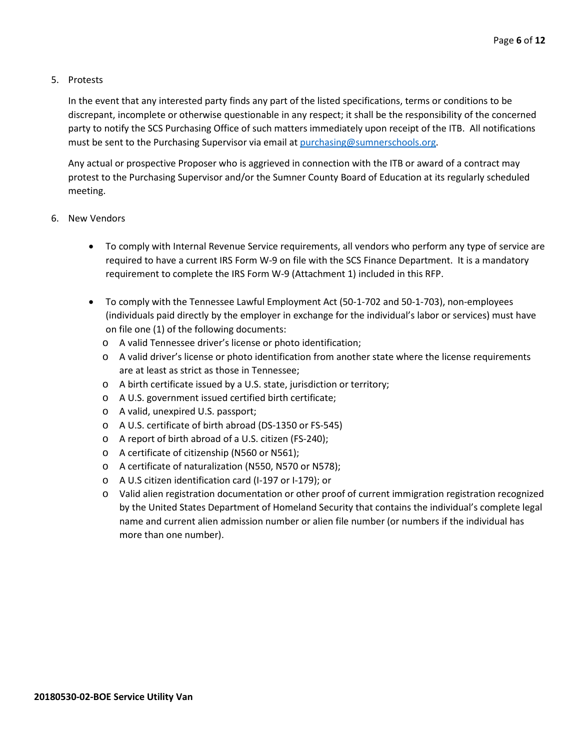#### 5. Protests

In the event that any interested party finds any part of the listed specifications, terms or conditions to be discrepant, incomplete or otherwise questionable in any respect; it shall be the responsibility of the concerned party to notify the SCS Purchasing Office of such matters immediately upon receipt of the ITB. All notifications must be sent to the Purchasing Supervisor via email at [purchasing@sumnerschools.org.](mailto:purchasing@sumnerschools.org)

Any actual or prospective Proposer who is aggrieved in connection with the ITB or award of a contract may protest to the Purchasing Supervisor and/or the Sumner County Board of Education at its regularly scheduled meeting.

- 6. New Vendors
	- To comply with Internal Revenue Service requirements, all vendors who perform any type of service are required to have a current IRS Form W-9 on file with the SCS Finance Department. It is a mandatory requirement to complete the IRS Form W-9 (Attachment 1) included in this RFP.
	- To comply with the Tennessee Lawful Employment Act (50-1-702 and 50-1-703), non-employees (individuals paid directly by the employer in exchange for the individual's labor or services) must have on file one (1) of the following documents:
		- o A valid Tennessee driver's license or photo identification;
		- o A valid driver's license or photo identification from another state where the license requirements are at least as strict as those in Tennessee;
		- o A birth certificate issued by a U.S. state, jurisdiction or territory;
		- o A U.S. government issued certified birth certificate;
		- o A valid, unexpired U.S. passport;
		- o A U.S. certificate of birth abroad (DS-1350 or FS-545)
		- o A report of birth abroad of a U.S. citizen (FS-240);
		- o A certificate of citizenship (N560 or N561);
		- o A certificate of naturalization (N550, N570 or N578);
		- o A U.S citizen identification card (I-197 or I-179); or
		- o Valid alien registration documentation or other proof of current immigration registration recognized by the United States Department of Homeland Security that contains the individual's complete legal name and current alien admission number or alien file number (or numbers if the individual has more than one number).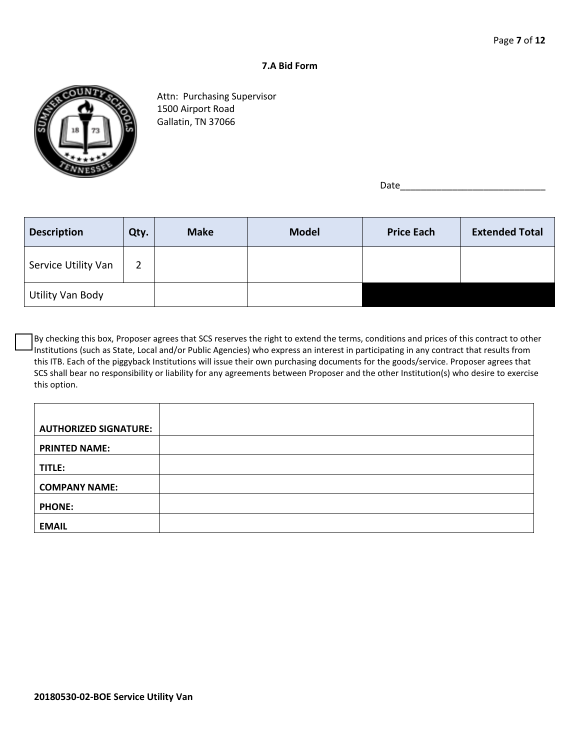#### **7.A Bid Form**



Attn: Purchasing Supervisor 1500 Airport Road Gallatin, TN 37066

Date\_\_\_\_\_\_\_\_\_\_\_\_\_\_\_\_\_\_\_\_\_\_\_\_\_\_\_\_

| <b>Description</b>  | Qty. | <b>Make</b> | <b>Model</b> | <b>Price Each</b> | <b>Extended Total</b> |
|---------------------|------|-------------|--------------|-------------------|-----------------------|
| Service Utility Van | 2    |             |              |                   |                       |
| Utility Van Body    |      |             |              |                   |                       |

By checking this box, Proposer agrees that SCS reserves the right to extend the terms, conditions and prices of this contract to other Institutions (such as State, Local and/or Public Agencies) who express an interest in participating in any contract that results from this ITB. Each of the piggyback Institutions will issue their own purchasing documents for the goods/service. Proposer agrees that SCS shall bear no responsibility or liability for any agreements between Proposer and the other Institution(s) who desire to exercise this option.

| <b>AUTHORIZED SIGNATURE:</b> |  |
|------------------------------|--|
| <b>PRINTED NAME:</b>         |  |
| TITLE:                       |  |
| <b>COMPANY NAME:</b>         |  |
| <b>PHONE:</b>                |  |
| <b>EMAIL</b>                 |  |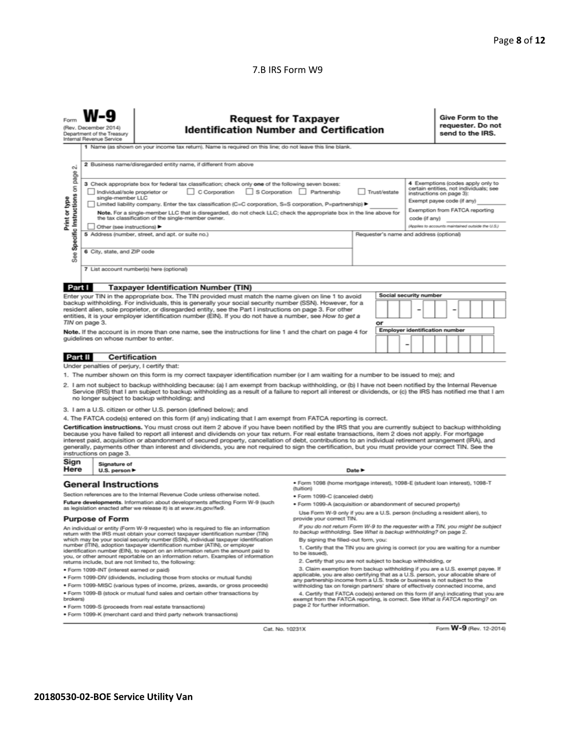#### 7.B IRS Form W9

|                                                                                                                                                                                                                                                                                                                                                                                                                                                                                                                                                                                                                                                                                                                                                                                                                                                                                                                                                                                                                                                                                                                                                                                                                                                                                                                                                                                                               | <b>Request for Taxpayer</b><br>(Rev. December 2014)<br><b>Identification Number and Certification</b><br>Department of the Treasury<br>Internal Revenue Service<br>1 Name (as shown on your income tax return). Name is required on this line; do not leave this line blank. |                                                                                                                                                                                                                                                                                                                                                                                                                                                                                                                                                                                                                                                                                                                                                                                                                                                                                                                                                                                                                                                                                                                                                                                                  |                                 |  |  |  |  | Give Form to the<br>requester. Do not<br>send to the IRS. |  |  |  |  |
|---------------------------------------------------------------------------------------------------------------------------------------------------------------------------------------------------------------------------------------------------------------------------------------------------------------------------------------------------------------------------------------------------------------------------------------------------------------------------------------------------------------------------------------------------------------------------------------------------------------------------------------------------------------------------------------------------------------------------------------------------------------------------------------------------------------------------------------------------------------------------------------------------------------------------------------------------------------------------------------------------------------------------------------------------------------------------------------------------------------------------------------------------------------------------------------------------------------------------------------------------------------------------------------------------------------------------------------------------------------------------------------------------------------|------------------------------------------------------------------------------------------------------------------------------------------------------------------------------------------------------------------------------------------------------------------------------|--------------------------------------------------------------------------------------------------------------------------------------------------------------------------------------------------------------------------------------------------------------------------------------------------------------------------------------------------------------------------------------------------------------------------------------------------------------------------------------------------------------------------------------------------------------------------------------------------------------------------------------------------------------------------------------------------------------------------------------------------------------------------------------------------------------------------------------------------------------------------------------------------------------------------------------------------------------------------------------------------------------------------------------------------------------------------------------------------------------------------------------------------------------------------------------------------|---------------------------------|--|--|--|--|-----------------------------------------------------------|--|--|--|--|
| 2 Business name/disregarded entity name, if different from above<br>σû<br>page<br>4 Exemptions (codes apply only to<br>3 Check appropriate box for federal tax classification; check only one of the following seven boxes:<br>Specific Instructions on<br>certain entities, not individuals; see<br>C Corporation<br>S Corporation Partnership<br>Individual/sole proprietor or<br>Trust/estate<br>instructions on page 3):<br>single-member LLC<br>Print or type<br>Exempt payee code (if any)<br>Limited liability company. Enter the tax classification (C=C corporation, S=S corporation, P=partnership) ▶<br>Exemption from FATCA reporting<br>Note. For a single-member LLC that is disregarded, do not check LLC; check the appropriate box in the line above for<br>the tax classification of the single-member owner.<br>code (if anv)<br>(Applies to accounts maintained outside the U.S.)<br>Other (see instructions)<br>5 Address (number, street, and apt. or suite no.)<br>Requester's name and address (optional)<br>6 City, state, and ZIP code<br>See<br>7 List account number(s) here (optional)                                                                                                                                                                                                                                                                                           |                                                                                                                                                                                                                                                                              |                                                                                                                                                                                                                                                                                                                                                                                                                                                                                                                                                                                                                                                                                                                                                                                                                                                                                                                                                                                                                                                                                                                                                                                                  |                                 |  |  |  |  |                                                           |  |  |  |  |
|                                                                                                                                                                                                                                                                                                                                                                                                                                                                                                                                                                                                                                                                                                                                                                                                                                                                                                                                                                                                                                                                                                                                                                                                                                                                                                                                                                                                               |                                                                                                                                                                                                                                                                              |                                                                                                                                                                                                                                                                                                                                                                                                                                                                                                                                                                                                                                                                                                                                                                                                                                                                                                                                                                                                                                                                                                                                                                                                  |                                 |  |  |  |  |                                                           |  |  |  |  |
| Part I<br><b>Taxpayer Identification Number (TIN)</b><br>Social security number<br>Enter your TIN in the appropriate box. The TIN provided must match the name given on line 1 to avoid<br>backup withholding. For individuals, this is generally your social security number (SSN). However, for a<br>resident alien, sole proprietor, or disregarded entity, see the Part I instructions on page 3. For other<br>entities, it is your employer identification number (EIN). If you do not have a number, see How to get a<br>TIN on page 3.<br>or<br><b>Employer identification number</b><br>Note. If the account is in more than one name, see the instructions for line 1 and the chart on page 4 for<br>guidelines on whose number to enter.                                                                                                                                                                                                                                                                                                                                                                                                                                                                                                                                                                                                                                                            |                                                                                                                                                                                                                                                                              |                                                                                                                                                                                                                                                                                                                                                                                                                                                                                                                                                                                                                                                                                                                                                                                                                                                                                                                                                                                                                                                                                                                                                                                                  |                                 |  |  |  |  |                                                           |  |  |  |  |
| Part II                                                                                                                                                                                                                                                                                                                                                                                                                                                                                                                                                                                                                                                                                                                                                                                                                                                                                                                                                                                                                                                                                                                                                                                                                                                                                                                                                                                                       | <b>Certification</b>                                                                                                                                                                                                                                                         |                                                                                                                                                                                                                                                                                                                                                                                                                                                                                                                                                                                                                                                                                                                                                                                                                                                                                                                                                                                                                                                                                                                                                                                                  |                                 |  |  |  |  |                                                           |  |  |  |  |
| Under penalties of perjury, I certify that:<br>1. The number shown on this form is my correct taxpayer identification number (or I am waiting for a number to be issued to me); and<br>2. I am not subject to backup withholding because: (a) I am exempt from backup withholding, or (b) I have not been notified by the Internal Revenue<br>Service (IRS) that I am subject to backup withholding as a result of a failure to report all interest or dividends, or (c) the IRS has notified me that I am<br>no longer subject to backup withholding; and<br>3. I am a U.S. citizen or other U.S. person (defined below); and<br>4. The FATCA code(s) entered on this form (if any) indicating that I am exempt from FATCA reporting is correct.<br>Certification instructions. You must cross out item 2 above if you have been notified by the IRS that you are currently subject to backup withholding<br>because you have failed to report all interest and dividends on your tax return. For real estate transactions, item 2 does not apply. For mortgage<br>interest paid, acquisition or abandonment of secured property, cancellation of debt, contributions to an individual retirement arrangement (IRA), and<br>generally, payments other than interest and dividends, you are not required to sign the certification, but you must provide your correct TIN. See the<br>instructions on page 3. |                                                                                                                                                                                                                                                                              |                                                                                                                                                                                                                                                                                                                                                                                                                                                                                                                                                                                                                                                                                                                                                                                                                                                                                                                                                                                                                                                                                                                                                                                                  |                                 |  |  |  |  |                                                           |  |  |  |  |
| Sign<br>Signature of<br>Here<br>Date $\blacktriangleright$<br>U.S. person $\blacktriangleright$                                                                                                                                                                                                                                                                                                                                                                                                                                                                                                                                                                                                                                                                                                                                                                                                                                                                                                                                                                                                                                                                                                                                                                                                                                                                                                               |                                                                                                                                                                                                                                                                              |                                                                                                                                                                                                                                                                                                                                                                                                                                                                                                                                                                                                                                                                                                                                                                                                                                                                                                                                                                                                                                                                                                                                                                                                  |                                 |  |  |  |  |                                                           |  |  |  |  |
| <b>General Instructions</b><br>Section references are to the Internal Revenue Code unless otherwise noted.<br>Future developments. Information about developments affecting Form W-9 (such<br>as legislation enacted after we release it) is at www.irs.gov/fw9.<br><b>Purpose of Form</b><br>An individual or entity (Form W-9 requester) who is required to file an information<br>return with the IRS must obtain your correct taxpayer identification number (TIN)<br>which may be your social security number (SSN), individual taxpayer identification<br>number (ITIN), adoption taxpayer identification number (ATIN), or employer<br>identification number (EIN), to report on an information return the amount paid to<br>you, or other amount reportable on an information return. Examples of information<br>returns include, but are not limited to, the following:<br>· Form 1099-INT (interest earned or paid)<br>. Form 1099-DIV (dividends, including those from stocks or mutual funds)<br>. Form 1099-MISC (various types of income, prizes, awards, or gross proceeds)<br>. Form 1099-B (stock or mutual fund sales and certain other transactions by<br>brokers)                                                                                                                                                                                                                         |                                                                                                                                                                                                                                                                              | · Form 1098 (home mortgage interest), 1098-E (student loan interest), 1098-T<br>(tuition)<br>· Form 1099-C (canceled debt)<br>· Form 1099-A (acquisition or abandonment of secured property)<br>Use Form W-9 only if you are a U.S. person (including a resident alien), to<br>provide your correct TIN.<br>If you do not return Form W-9 to the requester with a TIN, you might be subject<br>to backup withholding. See What is backup withholding? on page 2.<br>By signing the filled-out form, you:<br>1. Certify that the TIN you are giving is correct (or you are waiting for a number<br>to be issued).<br>2. Certify that you are not subject to backup withholding, or<br>3. Claim exemption from backup withholding if you are a U.S. exempt payee. If<br>applicable, you are also certifying that as a U.S. person, your allocable share of<br>any partnership income from a U.S. trade or business is not subject to the<br>withholding tax on foreign partners' share of effectively connected income, and<br>4. Certify that FATCA code(s) entered on this form (if any) indicating that you are<br>exempt from the FATCA reporting, is correct. See What is FATCA reporting? on |                                 |  |  |  |  |                                                           |  |  |  |  |
|                                                                                                                                                                                                                                                                                                                                                                                                                                                                                                                                                                                                                                                                                                                                                                                                                                                                                                                                                                                                                                                                                                                                                                                                                                                                                                                                                                                                               |                                                                                                                                                                                                                                                                              | · Form 1099-S (proceeds from real estate transactions)<br>. Form 1099-K (merchant card and third party network transactions)                                                                                                                                                                                                                                                                                                                                                                                                                                                                                                                                                                                                                                                                                                                                                                                                                                                                                                                                                                                                                                                                     | page 2 for further information. |  |  |  |  |                                                           |  |  |  |  |

Cat. No. 10231X

Form W-9 (Rev. 12-2014)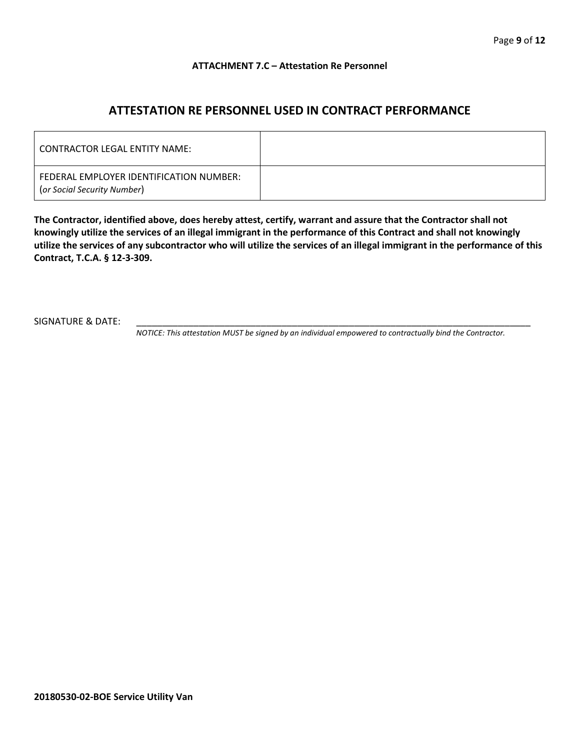#### **ATTACHMENT 7.C – Attestation Re Personnel**

## **ATTESTATION RE PERSONNEL USED IN CONTRACT PERFORMANCE**

| CONTRACTOR LEGAL ENTITY NAME:                                          |  |
|------------------------------------------------------------------------|--|
| FEDERAL EMPLOYER IDENTIFICATION NUMBER:<br>(or Social Security Number) |  |

**The Contractor, identified above, does hereby attest, certify, warrant and assure that the Contractor shall not knowingly utilize the services of an illegal immigrant in the performance of this Contract and shall not knowingly utilize the services of any subcontractor who will utilize the services of an illegal immigrant in the performance of this Contract, T.C.A. § 12-3-309.**

SIGNATURE & DATE:

*NOTICE: This attestation MUST be signed by an individual empowered to contractually bind the Contractor.*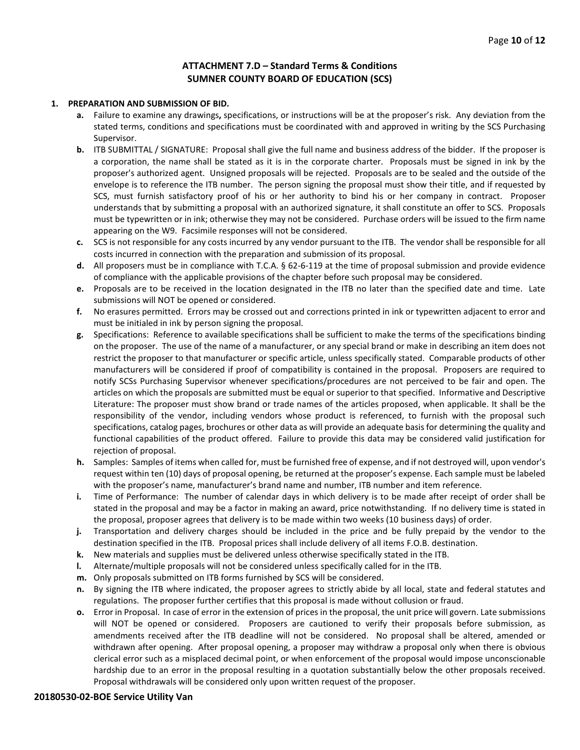#### **ATTACHMENT 7.D – Standard Terms & Conditions SUMNER COUNTY BOARD OF EDUCATION (SCS)**

#### **1. PREPARATION AND SUBMISSION OF BID.**

- **a.** Failure to examine any drawings**,** specifications, or instructions will be at the proposer's risk. Any deviation from the stated terms, conditions and specifications must be coordinated with and approved in writing by the SCS Purchasing Supervisor.
- **b.** ITB SUBMITTAL / SIGNATURE: Proposal shall give the full name and business address of the bidder. If the proposer is a corporation, the name shall be stated as it is in the corporate charter. Proposals must be signed in ink by the proposer's authorized agent. Unsigned proposals will be rejected. Proposals are to be sealed and the outside of the envelope is to reference the ITB number. The person signing the proposal must show their title, and if requested by SCS, must furnish satisfactory proof of his or her authority to bind his or her company in contract. Proposer understands that by submitting a proposal with an authorized signature, it shall constitute an offer to SCS. Proposals must be typewritten or in ink; otherwise they may not be considered. Purchase orders will be issued to the firm name appearing on the W9. Facsimile responses will not be considered.
- **c.** SCS is not responsible for any costs incurred by any vendor pursuant to the ITB. The vendor shall be responsible for all costs incurred in connection with the preparation and submission of its proposal.
- **d.** All proposers must be in compliance with T.C.A. § 62-6-119 at the time of proposal submission and provide evidence of compliance with the applicable provisions of the chapter before such proposal may be considered.
- **e.** Proposals are to be received in the location designated in the ITB no later than the specified date and time. Late submissions will NOT be opened or considered.
- **f.** No erasures permitted. Errors may be crossed out and corrections printed in ink or typewritten adjacent to error and must be initialed in ink by person signing the proposal.
- **g.** Specifications: Reference to available specifications shall be sufficient to make the terms of the specifications binding on the proposer. The use of the name of a manufacturer, or any special brand or make in describing an item does not restrict the proposer to that manufacturer or specific article, unless specifically stated. Comparable products of other manufacturers will be considered if proof of compatibility is contained in the proposal. Proposers are required to notify SCSs Purchasing Supervisor whenever specifications/procedures are not perceived to be fair and open. The articles on which the proposals are submitted must be equal or superior to that specified. Informative and Descriptive Literature: The proposer must show brand or trade names of the articles proposed, when applicable. It shall be the responsibility of the vendor, including vendors whose product is referenced, to furnish with the proposal such specifications, catalog pages, brochures or other data as will provide an adequate basis for determining the quality and functional capabilities of the product offered. Failure to provide this data may be considered valid justification for rejection of proposal.
- **h.** Samples: Samples of items when called for, must be furnished free of expense, and if not destroyed will, upon vendor's request within ten (10) days of proposal opening, be returned at the proposer's expense. Each sample must be labeled with the proposer's name, manufacturer's brand name and number, ITB number and item reference.
- **i.** Time of Performance: The number of calendar days in which delivery is to be made after receipt of order shall be stated in the proposal and may be a factor in making an award, price notwithstanding. If no delivery time is stated in the proposal, proposer agrees that delivery is to be made within two weeks (10 business days) of order.
- **j.** Transportation and delivery charges should be included in the price and be fully prepaid by the vendor to the destination specified in the ITB. Proposal prices shall include delivery of all items F.O.B. destination.
- **k.** New materials and supplies must be delivered unless otherwise specifically stated in the ITB.
- **l.** Alternate/multiple proposals will not be considered unless specifically called for in the ITB.
- **m.** Only proposals submitted on ITB forms furnished by SCS will be considered.
- **n.** By signing the ITB where indicated, the proposer agrees to strictly abide by all local, state and federal statutes and regulations. The proposer further certifies that this proposal is made without collusion or fraud.
- **o.** Error in Proposal. In case of error in the extension of prices in the proposal, the unit price will govern. Late submissions will NOT be opened or considered. Proposers are cautioned to verify their proposals before submission, as amendments received after the ITB deadline will not be considered. No proposal shall be altered, amended or withdrawn after opening. After proposal opening, a proposer may withdraw a proposal only when there is obvious clerical error such as a misplaced decimal point, or when enforcement of the proposal would impose unconscionable hardship due to an error in the proposal resulting in a quotation substantially below the other proposals received. Proposal withdrawals will be considered only upon written request of the proposer.

#### **20180530-02-BOE Service Utility Van**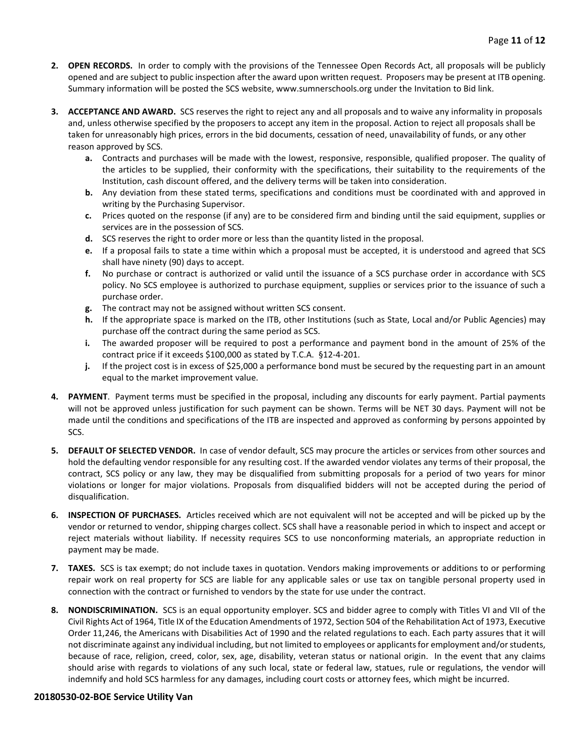- **2. OPEN RECORDS.** In order to comply with the provisions of the Tennessee Open Records Act, all proposals will be publicly opened and are subject to public inspection after the award upon written request. Proposers may be present at ITB opening. Summary information will be posted the SCS website, www.sumnerschools.org under the Invitation to Bid link.
- **3. ACCEPTANCE AND AWARD.** SCS reserves the right to reject any and all proposals and to waive any informality in proposals and, unless otherwise specified by the proposers to accept any item in the proposal. Action to reject all proposals shall be taken for unreasonably high prices, errors in the bid documents, cessation of need, unavailability of funds, or any other reason approved by SCS.
	- **a.** Contracts and purchases will be made with the lowest, responsive, responsible, qualified proposer. The quality of the articles to be supplied, their conformity with the specifications, their suitability to the requirements of the Institution, cash discount offered, and the delivery terms will be taken into consideration.
	- **b.** Any deviation from these stated terms, specifications and conditions must be coordinated with and approved in writing by the Purchasing Supervisor.
	- **c.** Prices quoted on the response (if any) are to be considered firm and binding until the said equipment, supplies or services are in the possession of SCS.
	- **d.** SCS reserves the right to order more or less than the quantity listed in the proposal.
	- **e.** If a proposal fails to state a time within which a proposal must be accepted, it is understood and agreed that SCS shall have ninety (90) days to accept.
	- **f.** No purchase or contract is authorized or valid until the issuance of a SCS purchase order in accordance with SCS policy. No SCS employee is authorized to purchase equipment, supplies or services prior to the issuance of such a purchase order.
	- **g.** The contract may not be assigned without written SCS consent.
	- **h.** If the appropriate space is marked on the ITB, other Institutions (such as State, Local and/or Public Agencies) may purchase off the contract during the same period as SCS.
	- **i.** The awarded proposer will be required to post a performance and payment bond in the amount of 25% of the contract price if it exceeds \$100,000 as stated by T.C.A. §12-4-201.
	- **j.** If the project cost is in excess of \$25,000 a performance bond must be secured by the requesting part in an amount equal to the market improvement value.
- **4. PAYMENT**. Payment terms must be specified in the proposal, including any discounts for early payment. Partial payments will not be approved unless justification for such payment can be shown. Terms will be NET 30 days. Payment will not be made until the conditions and specifications of the ITB are inspected and approved as conforming by persons appointed by SCS.
- **5. DEFAULT OF SELECTED VENDOR.** In case of vendor default, SCS may procure the articles or services from other sources and hold the defaulting vendor responsible for any resulting cost. If the awarded vendor violates any terms of their proposal, the contract, SCS policy or any law, they may be disqualified from submitting proposals for a period of two years for minor violations or longer for major violations. Proposals from disqualified bidders will not be accepted during the period of disqualification.
- **6. INSPECTION OF PURCHASES.** Articles received which are not equivalent will not be accepted and will be picked up by the vendor or returned to vendor, shipping charges collect. SCS shall have a reasonable period in which to inspect and accept or reject materials without liability. If necessity requires SCS to use nonconforming materials, an appropriate reduction in payment may be made.
- **7. TAXES.** SCS is tax exempt; do not include taxes in quotation. Vendors making improvements or additions to or performing repair work on real property for SCS are liable for any applicable sales or use tax on tangible personal property used in connection with the contract or furnished to vendors by the state for use under the contract.
- **8. NONDISCRIMINATION.** SCS is an equal opportunity employer. SCS and bidder agree to comply with Titles VI and VII of the Civil Rights Act of 1964, Title IX of the Education Amendments of 1972, Section 504 of the Rehabilitation Act of 1973, Executive Order 11,246, the Americans with Disabilities Act of 1990 and the related regulations to each. Each party assures that it will not discriminate against any individual including, but not limited to employees or applicants for employment and/or students, because of race, religion, creed, color, sex, age, disability, veteran status or national origin. In the event that any claims should arise with regards to violations of any such local, state or federal law, statues, rule or regulations, the vendor will indemnify and hold SCS harmless for any damages, including court costs or attorney fees, which might be incurred.

#### **20180530-02-BOE Service Utility Van**